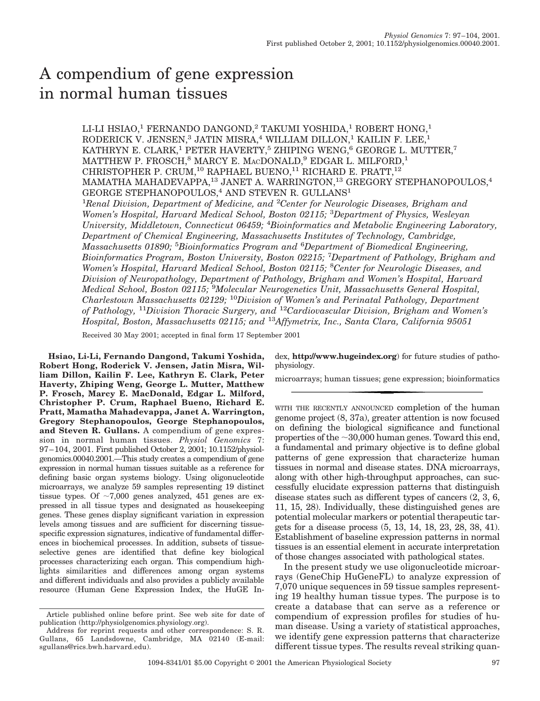# A compendium of gene expression in normal human tissues

LI-LI HSIAO,<sup>1</sup> FERNANDO DANGOND,<sup>2</sup> TAKUMI YOSHIDA,<sup>1</sup> ROBERT HONG,<sup>1</sup> RODERICK V. JENSEN, $^3$  JATIN MISRA, $^4$  WILLIAM DILLON, $^1$  KAILIN F. LEE, $^1$ KATHRYN E. CLARK,<sup>1</sup> PETER HAVERTY,<sup>5</sup> ZHIPING WENG,<sup>6</sup> GEORGE L. MUTTER,<sup>7</sup> MATTHEW P. FROSCH,<sup>8</sup> MARCY E. MACDONALD,<sup>9</sup> EDGAR L. MILFORD,<sup>1</sup> CHRISTOPHER P. CRUM,<sup>10</sup> RAPHAEL BUENO,<sup>11</sup> RICHARD E. PRATT,<sup>12</sup> MAMATHA MAHADEVAPPA,<sup>13</sup> JANET A. WARRINGTON,<sup>13</sup> GREGORY STEPHANOPOULOS,<sup>4</sup> GEORGE STEPHANOPOULOS,<sup>4</sup> AND STEVEN R. GULLANS<sup>1</sup>

<sup>1</sup> Renal Division, Department of Medicine, and <sup>2</sup> Center for Neurologic Diseases, Brigham and *Women's Hospital, Harvard Medical School, Boston 02115;* <sup>3</sup> *Department of Physics, Wesleyan University, Middletown, Connecticut 06459;* <sup>4</sup> *Bioinformatics and Metabolic Engineering Laboratory, Department of Chemical Engineering, Massachusetts Institutes of Technology, Cambridge, Massachusetts 01890;* <sup>5</sup> *Bioinformatics Program and* <sup>6</sup> *Department of Biomedical Engineering, Bioinformatics Program, Boston University, Boston 02215;* <sup>7</sup> *Department of Pathology, Brigham and Women's Hospital, Harvard Medical School, Boston 02115;* <sup>8</sup> *Center for Neurologic Diseases, and Division of Neuropathology, Department of Pathology, Brigham and Women's Hospital, Harvard Medical School, Boston 02115;* <sup>9</sup> *Molecular Neurogenetics Unit, Massachusetts General Hospital, Charlestown Massachusetts 02129;* <sup>10</sup>*Division of Women's and Perinatal Pathology, Department of Pathology,* <sup>11</sup>*Division Thoracic Surgery, and* <sup>12</sup>*Cardiovascular Division, Brigham and Women's Hospital, Boston, Massachusetts 02115; and* <sup>13</sup>*Affymetrix, Inc., Santa Clara, California 95051*

Received 30 May 2001; accepted in final form 17 September 2001

**Hsiao, Li-Li, Fernando Dangond, Takumi Yoshida, Robert Hong, Roderick V. Jensen, Jatin Misra, William Dillon, Kailin F. Lee, Kathryn E. Clark, Peter Haverty, Zhiping Weng, George L. Mutter, Matthew P. Frosch, Marcy E. MacDonald, Edgar L. Milford, Christopher P. Crum, Raphael Bueno, Richard E. Pratt, Mamatha Mahadevappa, Janet A. Warrington, Gregory Stephanopoulos, George Stephanopoulos, and Steven R. Gullans.** A compendium of gene expression in normal human tissues. *Physiol Genomics* 7: 97–104, 2001. First published October 2, 2001; 10.1152/physiolgenomics.00040.2001.—This study creates a compendium of gene expression in normal human tissues suitable as a reference for defining basic organ systems biology. Using oligonucleotide microarrays, we analyze 59 samples representing 19 distinct tissue types. Of  $\sim$ 7,000 genes analyzed, 451 genes are expressed in all tissue types and designated as housekeeping genes. These genes display significant variation in expression levels among tissues and are sufficient for discerning tissuespecific expression signatures, indicative of fundamental differences in biochemical processes. In addition, subsets of tissueselective genes are identified that define key biological processes characterizing each organ. This compendium highlights similarities and differences among organ systems and different individuals and also provides a publicly available resource (Human Gene Expression Index, the HuGE Index, **http://www.hugeindex.org**) for future studies of pathophysiology.

microarrays; human tissues; gene expression; bioinformatics

WITH THE RECENTLY ANNOUNCED completion of the human genome project (8, 37a), greater attention is now focused on defining the biological significance and functional properties of the  $\sim$  30,000 human genes. Toward this end, a fundamental and primary objective is to define global patterns of gene expression that characterize human tissues in normal and disease states. DNA microarrays, along with other high-throughput approaches, can successfully elucidate expression patterns that distinguish disease states such as different types of cancers (2, 3, 6, 11, 15, 28). Individually, these distinguished genes are potential molecular markers or potential therapeutic targets for a disease process (5, 13, 14, 18, 23, 28, 38, 41). Establishment of baseline expression patterns in normal tissues is an essential element in accurate interpretation of those changes associated with pathological states.

In the present study we use oligonucleotide microarrays (GeneChip HuGeneFL) to analyze expression of 7,070 unique sequences in 59 tissue samples representing 19 healthy human tissue types. The purpose is to create a database that can serve as a reference or compendium of expression profiles for studies of human disease. Using a variety of statistical approaches, we identify gene expression patterns that characterize different tissue types. The results reveal striking quan-

Article published online before print. See web site for date of publication (http://physiolgenomics.physiology.org).

Address for reprint requests and other correspondence: S. R. Gullans, 65 Landsdowne, Cambridge, MA 02140 (E-mail: sgullans@rics.bwh.harvard.edu).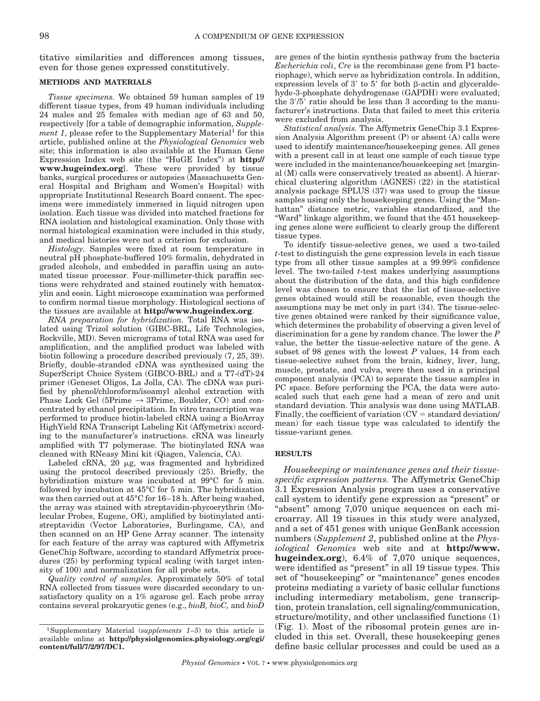titative similarities and differences among tissues, even for those genes expressed constitutively.

## **METHODS AND MATERIALS**

*Tissue specimens.* We obtained 59 human samples of 19 different tissue types, from 49 human individuals including 24 males and 25 females with median age of 63 and 50, respectively [for a table of demographic information, *Supplement 1*, please refer to the Supplementary Material<sup>1</sup> for this article, published online at the *Physiological Genomics* web site; this information is also available at the Human Gene Expression Index web site (the "HuGE Index") at **http:// www.hugeindex.org**]. These were provided by tissue banks, surgical procedures or autopsies (Massachusetts General Hospital and Brigham and Women's Hospital) with appropriate Institutional Research Board consent. The specimens were immediately immersed in liquid nitrogen upon isolation. Each tissue was divided into matched fractions for RNA isolation and histological examination. Only those with normal histological examination were included in this study, and medical histories were not a criterion for exclusion.

*Histology.* Samples were fixed at room temperature in neutral pH phosphate-buffered 10% formalin, dehydrated in graded alcohols, and embedded in paraffin using an automated tissue processor. Four-millimeter-thick paraffin sections were rehydrated and stained routinely with hematoxylin and eosin. Light microscope examination was performed to confirm normal tissue morphology. Histological sections of the tissues are available at **http://www.hugeindex.org**.

*RNA preparation for hybridization.* Total RNA was isolated using Trizol solution (GIBC-BRL, Life Technologies, Rockville, MD). Seven micrograms of total RNA was used for amplification, and the amplified product was labeled with biotin following a procedure described previously (7, 25, 39). Briefly, double-stranded cDNA was synthesized using the SuperScript Choice System (GIBCO-BRL) and a T7-(dT)-24 primer (Geneset Oligos, La Jolla, CA). The cDNA was purified by phenol/chloroform/isoamyl alcohol extraction with Phase Lock Gel (5Prime  $\rightarrow$  3Prime, Boulder, CO) and concentrated by ethanol precipitation. In vitro transcription was performed to produce biotin-labeled cRNA using a BioArray HighYield RNA Transcript Labeling Kit (Affymetrix) according to the manufacturer's instructions. cRNA was linearly amplified with T7 polymerase. The biotinylated RNA was cleaned with RNeasy Mini kit (Qiagen, Valencia, CA).

Labeled cRNA, 20 µg, was fragmented and hybridized using the protocol described previously (25). Briefly, the hybridization mixture was incubated at 99°C for 5 min. followed by incubation at 45°C for 5 min. The hybridization was then carried out at 45°C for 16–18 h. After being washed, the array was stained with streptavidin-phycoerythrin (Molecular Probes, Eugene, OR), amplified by biotinylated antistreptavidin (Vector Laboratories, Burlingame, CA), and then scanned on an HP Gene Array scanner. The intensity for each feature of the array was captured with Affymetrix GeneChip Software, according to standard Affymetrix procedures (25) by performing typical scaling (with target intensity of 100) and normalization for all probe sets.

*Quality control of samples.* Approximately 50% of total RNA collected from tissues were discarded secondary to unsatisfactory quality on a 1% agarose gel. Each probe array contains several prokaryotic genes (e.g., *bioB, bioC,* and *bioD* are genes of the biotin synthesis pathway from the bacteria *Escherichia coli*, *Cre* is the recombinase gene from P1 bacteriophage), which serve as hybridization controls. In addition, expression levels of  $3'$  to  $5'$  for both  $\beta$ -actin and glyceraldehyde-3-phosphate dehydrogenase (GAPDH) were evaluated; the  $3'/5'$  ratio should be less than 3 according to the manufacturer's instructions. Data that failed to meet this criteria were excluded from analysis.

*Statistical analysis.* The Affymetrix GeneChip 3.1 Expression Analysis Algorithm present (P) or absent (A) calls were used to identify maintenance/housekeeping genes. All genes with a present call in at least one sample of each tissue type were included in the maintenance/housekeeping set [marginal (M) calls were conservatively treated as absent]. A hierarchical clustering algorithm (AGNES) (22) in the statistical analysis package SPLUS (37) was used to group the tissue samples using only the housekeeping genes. Using the "Manhattan" distance metric, variables standardized, and the "Ward" linkage algorithm, we found that the 451 housekeeping genes alone were sufficient to clearly group the different tissue types.

To identify tissue-selective genes, we used a two-tailed *t*-test to distinguish the gene expression levels in each tissue type from all other tissue samples at a 99.99% confidence level. The two-tailed *t*-test makes underlying assumptions about the distribution of the data, and this high confidence level was chosen to ensure that the list of tissue-selective genes obtained would still be reasonable, even though the assumptions may be met only in part (34). The tissue-selective genes obtained were ranked by their significance value, which determines the probability of observing a given level of discrimination for a gene by random chance. The lower the *P* value, the better the tissue-selective nature of the gene. A subset of 98 genes with the lowest *P* values, 14 from each tissue-selective subset from the brain, kidney, liver, lung, muscle, prostate, and vulva, were then used in a principal component analysis (PCA) to separate the tissue samples in PC space. Before performing the PCA, the data were autoscaled such that each gene had a mean of zero and unit standard deviation. This analysis was done using MATLAB. Finally, the coefficient of variation  $(CV = standard deviation/$ mean) for each tissue type was calculated to identify the tissue-variant genes.

### **RESULTS**

*Housekeeping or maintenance genes and their tissuespecific expression patterns.* The Affymetrix GeneChip 3.1 Expression Analysis program uses a conservative call system to identify gene expression as "present" or "absent" among 7,070 unique sequences on each microarray. All 19 tissues in this study were analyzed, and a set of 451 genes with unique GenBank accession numbers (*Supplement 2*, published online at the *Physiological Genomics* web site and at **http://www. hugeindex.org**), 6.4% of 7,070 unique sequences, were identified as "present" in all 19 tissue types. This set of "housekeeping" or "maintenance" genes encodes proteins mediating a variety of basic cellular functions including intermediary metabolism, gene transcription, protein translation, cell signaling/communication, structure/motility, and other unclassified functions (1) (Fig. 1). Most of the ribosomal protein genes are included in this set. Overall, these housekeeping genes define basic cellular processes and could be used as a

<sup>1</sup>Supplementary Material (*supplements 1–5*) to this article is available online at **http://physiolgenomics.physiology.org/cgi/ content/full/7/2/97/DC1.**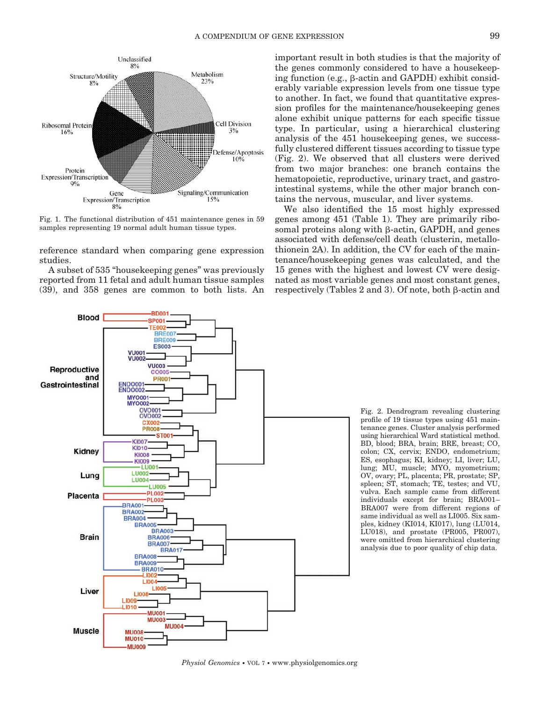

Fig. 1. The functional distribution of 451 maintenance genes in 59 samples representing 19 normal adult human tissue types.

reference standard when comparing gene expression studies.

A subset of 535 "housekeeping genes" was previously reported from 11 fetal and adult human tissue samples (39), and 358 genes are common to both lists. An

important result in both studies is that the majority of the genes commonly considered to have a housekeeping function (e.g.,  $\beta$ -actin and GAPDH) exhibit considerably variable expression levels from one tissue type to another. In fact, we found that quantitative expression profiles for the maintenance/housekeeping genes alone exhibit unique patterns for each specific tissue type. In particular, using a hierarchical clustering analysis of the 451 housekeeping genes, we successfully clustered different tissues according to tissue type (Fig. 2). We observed that all clusters were derived from two major branches: one branch contains the hematopoietic, reproductive, urinary tract, and gastrointestinal systems, while the other major branch contains the nervous, muscular, and liver systems.

We also identified the 15 most highly expressed genes among 451 (Table 1). They are primarily ribosomal proteins along with  $\beta$ -actin, GAPDH, and genes associated with defense/cell death (clusterin, metallothionein 2A). In addition, the CV for each of the maintenance/housekeeping genes was calculated, and the 15 genes with the highest and lowest CV were designated as most variable genes and most constant genes, respectively (Tables 2 and 3). Of note, both  $\beta$ -actin and



Fig. 2. Dendrogram revealing clustering profile of 19 tissue types using 451 maintenance genes. Cluster analysis performed using hierarchical Ward statistical method. BD, blood; BRA, brain; BRE, breast; CO, colon; CX, cervix; ENDO, endometrium; ES, esophagus; KI, kidney; LI, liver; LU, lung; MU, muscle; MYO, myometrium; OV, ovary; PL, placenta; PR, prostate; SP, spleen; ST, stomach; TE, testes; and VU, vulva. Each sample came from different individuals except for brain; BRA001– BRA007 were from different regions of same individual as well as LI005. Six samples, kidney (KI014, KI017), lung (LU014, LU018), and prostate (PR005, PR007), were omitted from hierarchical clustering analysis due to poor quality of chip data.

*Physiol Genomics* • VOL 7 • www.physiolgenomics.org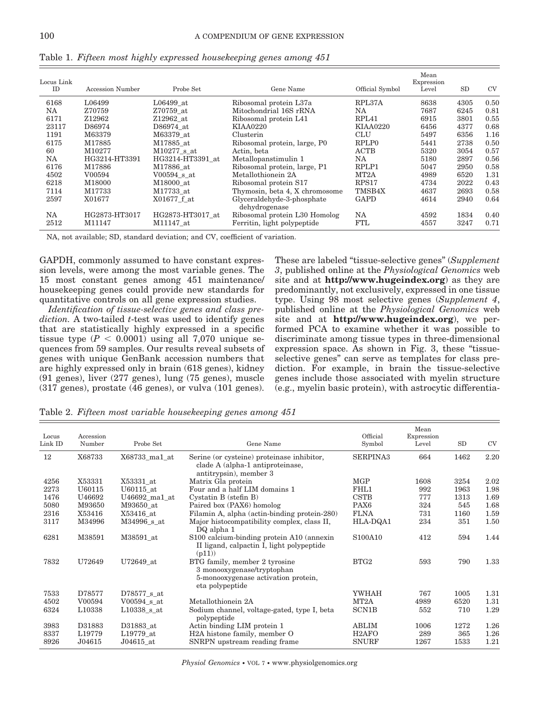| Locus Link<br>ID | <b>Accession Number</b> | Probe Set        | Gene Name                                   | Official Symbol   | Mean<br>Expression<br>Level | SD   | <b>CV</b> |
|------------------|-------------------------|------------------|---------------------------------------------|-------------------|-----------------------------|------|-----------|
| 6168             | L06499                  | $L06499$ at      | Ribosomal protein L37a                      | RPL37A            | 8638                        | 4305 | 0.50      |
| NA.              | Z70759                  | Z70759 at        | Mitochondrial 16S rRNA                      | NA                | 7687                        | 6245 | 0.81      |
| 6171             | Z12962                  | Z12962 at        | Ribosomal protein L41                       | RPL41             | 6915                        | 3801 | 0.55      |
| 23117            | D86974                  | D86974 at        | KIAA0220                                    | KIAA0220          | 6456                        | 4377 | 0.68      |
| 1191             | M63379                  | M63379 at        | Clusterin                                   | CLU               | 5497                        | 6356 | 1.16      |
| 6175             | M17885                  | M17885 at        | Ribosomal protein, large, P0                | RPLP <sub>0</sub> | 5441                        | 2738 | 0.50      |
| 60               | M10277                  | $M10277$ _s_at   | Actin, beta                                 | ACTB              | 5320                        | 3054 | 0.57      |
| NA.              | HG3214-HT3391           | HG3214-HT3391 at | Metallopanstimulin 1                        | NA                | 5180                        | 2897 | 0.56      |
| 6176             | M17886                  | M17886 at        | Ribosomal protein, large, P1                | RPLP1             | 5047                        | 2950 | 0.58      |
| 4502             | V00594                  | $V00594$ _s_at   | Metallothionein 2A                          | MT <sub>2</sub> A | 4989                        | 6520 | 1.31      |
| 6218             | M18000                  | M18000 at        | Ribosomal protein S17                       | RPS17             | 4734                        | 2022 | 0.43      |
| 7114             | M17733                  | M17733 at        | Thymosin, beta 4, X chromosome              | TMSB4X            | 4637                        | 2693 | 0.58      |
| 2597             | X01677                  | X01677 f at      | Glyceraldehyde-3-phosphate<br>dehydrogenase | GAPD              | 4614                        | 2940 | 0.64      |
| NA.              | HG2873-HT3017           | HG2873-HT3017 at | Ribosomal protein L30 Homolog               | NA                | 4592                        | 1834 | 0.40      |
| 2512             | M11147                  | M11147 at        | Ferritin, light polypeptide                 | <b>FTL</b>        | 4557                        | 3247 | 0.71      |

Table 1. *Fifteen most highly expressed housekeeping genes among 451*

NA, not available; SD, standard deviation; and CV, coefficient of variation.

GAPDH, commonly assumed to have constant expression levels, were among the most variable genes. The 15 most constant genes among 451 maintenance/ housekeeping genes could provide new standards for quantitative controls on all gene expression studies.

*Identification of tissue-selective genes and class prediction.* A two-tailed *t*-test was used to identify genes that are statistically highly expressed in a specific tissue type  $(P < 0.0001)$  using all 7,070 unique sequences from 59 samples. Our results reveal subsets of genes with unique GenBank accession numbers that are highly expressed only in brain (618 genes), kidney (91 genes), liver (277 genes), lung (75 genes), muscle (317 genes), prostate (46 genes), or vulva (101 genes).

These are labeled "tissue-selective genes" (*Supplement 3*, published online at the *Physiological Genomics* web site and at **http://www.hugeindex.org**) as they are predominantly, not exclusively, expressed in one tissue type. Using 98 most selective genes (*Supplement 4*, published online at the *Physiological Genomics* web site and at **http://www.hugeindex.org**), we performed PCA to examine whether it was possible to discriminate among tissue types in three-dimensional expression space. As shown in Fig. 3, these "tissueselective genes" can serve as templates for class prediction. For example, in brain the tissue-selective genes include those associated with myelin structure (e.g., myelin basic protein), with astrocytic differentia-

Table 2. *Fifteen most variable housekeeping genes among 451*

| Locus<br>Link ID | Accession<br>Number | Probe Set               | Gene Name                                                                                                             | Official<br>Symbol               | Mean<br>Expression<br>Level | SD   | <b>CV</b> |
|------------------|---------------------|-------------------------|-----------------------------------------------------------------------------------------------------------------------|----------------------------------|-----------------------------|------|-----------|
| 12               | X68733              | X68733 ma1 at           | Serine (or cysteine) proteinase inhibitor,<br>clade A (alpha-1 antiproteinase,<br>antitrypsin), member 3              | SERPINA3                         | 664                         | 1462 | 2.20      |
| 4256             | X53331              | X53331 at               | Matrix Gla protein                                                                                                    | <b>MGP</b>                       | 1608                        | 3254 | 2.02      |
| 2273             | U60115              | U60115 at               | Four and a half LIM domains 1                                                                                         | FHL1                             | 992                         | 1963 | 1.98      |
| 1476             | U <sub>46692</sub>  | U46692_ma1_at           | Cystatin $B$ (stefin $B$ )                                                                                            | CSTB                             | 777                         | 1313 | 1.69      |
| 5080             | M93650              | M93650 at               | Paired box (PAX6) homolog                                                                                             | PAX6                             | 324                         | 545  | 1.68      |
| 2316             | X53416              | X53416 at               | Filamin A, alpha (actin-binding protein-280)                                                                          | <b>FLNA</b>                      | 731                         | 1160 | 1.59      |
| 3117             | M34996              | M34996_s_at             | Major histocompatibility complex, class II,<br>DQ alpha 1                                                             | HLA-DQA1                         | 234                         | 351  | 1.50      |
| 6281             | M38591              | M38591 at               | S100 calcium-binding protein A10 (annexin<br>II ligand, calpactin I, light polypeptide<br>(p11)                       | S <sub>100</sub> A <sub>10</sub> | 412                         | 594  | 1.44      |
| 7832             | U72649              | U72649 at               | BTG family, member 2 tyrosine<br>3 monooxygenase/tryptophan<br>5-monooxygenase activation protein,<br>eta polypeptide | BTG <sub>2</sub>                 | 593                         | 790  | 1.33      |
| 7533             | D78577              | D78577_s_at             |                                                                                                                       | YWHAH                            | 767                         | 1005 | 1.31      |
| 4502             | V00594              | V00594 s at             | Metallothionein 2A                                                                                                    | MT <sub>2</sub> A                | 4989                        | 6520 | 1.31      |
| 6324             | L <sub>10338</sub>  | $L10338$ s at           | Sodium channel, voltage-gated, type I, beta<br>polypeptide                                                            | SCN1B                            | 552                         | 710  | 1.29      |
| 3983             | D31883              | D31883 at               | Actin binding LIM protein 1                                                                                           | <b>ABLIM</b>                     | 1006                        | 1272 | 1.26      |
| 8337             | L19779              | L19779 at               | H <sub>2</sub> A histone family, member O                                                                             | H <sub>2</sub> AFO               | 289                         | 365  | 1.26      |
| 8926             | J04615              | $J04615$ <sub>_at</sub> | SNRPN upstream reading frame                                                                                          | <b>SNURF</b>                     | 1267                        | 1533 | 1.21      |

*Physiol Genomics* • VOL 7 • www.physiolgenomics.org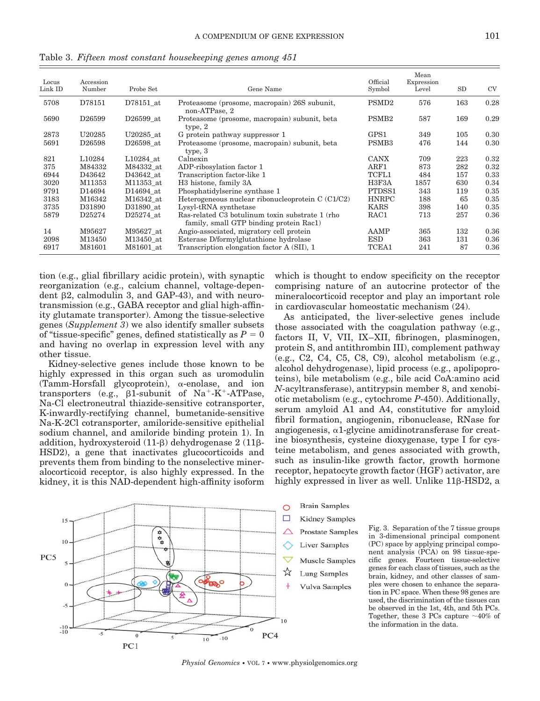| Locus<br>Link ID | Accession<br>Number | Probe Set | Gene Name                                                                                  | Official<br>Symbol | Mean<br>Expression<br>Level | SD  | <b>CV</b> |
|------------------|---------------------|-----------|--------------------------------------------------------------------------------------------|--------------------|-----------------------------|-----|-----------|
| 5708             | D78151              | D78151 at | Proteasome (prosome, macropain) 26S subunit,<br>non-ATPase, 2                              | PSMD <sub>2</sub>  | 576                         | 163 | 0.28      |
| 5690             | D <sub>26599</sub>  | D26599 at | Proteasome (prosome, macropain) subunit, beta<br>type, 2                                   | PSMB <sub>2</sub>  | 587                         | 169 | 0.29      |
| 2873             | U20285              | U20285 at | G protein pathway suppressor 1                                                             | GPS1               | 349                         | 105 | 0.30      |
| 5691             | D <sub>26598</sub>  | D26598 at | Proteasome (prosome, macropain) subunit, beta<br>type, 3                                   | PSMB <sub>3</sub>  | 476                         | 144 | 0.30      |
| 821              | L10284              | L10284_at | Calnexin                                                                                   | <b>CANX</b>        | 709                         | 223 | 0.32      |
| 375              | M84332              | M84332 at | ADP-ribosylation factor 1                                                                  | ARF1               | 873                         | 282 | 0.32      |
| 6944             | D43642              | D43642 at | Transcription factor-like 1                                                                | TCFL1              | 484                         | 157 | 0.33      |
| 3020             | M11353              | M11353 at | H <sub>3</sub> histone, family 3A                                                          | H3F3A              | 1857                        | 630 | 0.34      |
| 9791             | D14694              | D14694 at | Phosphatidylserine synthase 1                                                              | PTDSS1             | 343                         | 119 | 0.35      |
| 3183             | M16342              | M16342 at | Heterogeneous nuclear ribonucleoprotein C (C1/C2)                                          | <b>HNRPC</b>       | 188                         | 65  | 0.35      |
| 3735             | D31890              | D31890 at | Lysyl-tRNA synthetase                                                                      | <b>KARS</b>        | 398                         | 140 | 0.35      |
| 5879             | D25274              | D25274 at | Ras-related C3 botulinum toxin substrate 1 (rho<br>family, small GTP binding protein Rac1) | RAC1               | 713                         | 257 | 0.36      |
| 14               | M95627              | M95627 at | Angio-associated, migratory cell protein                                                   | AAMP               | 365                         | 132 | 0.36      |
| 2098             | M13450              | M13450 at | Esterase D/formylglutathione hydrolase                                                     | ESD                | 363                         | 131 | 0.36      |
| 6917             | M81601              | M81601 at | Transcription elongation factor A (SII), 1                                                 | TCEA1              | 241                         | 87  | 0.36      |

Table 3. *Fifteen most constant housekeeping genes among 451*

tion (e.g., glial fibrillary acidic protein), with synaptic reorganization (e.g., calcium channel, voltage-dependent  $\beta$ 2, calmodulin 3, and GAP-43), and with neurotransmission (e.g., GABA receptor and glial high-affinity glutamate transporter). Among the tissue-selective genes (*Supplement 3*) we also identify smaller subsets of "tissue-specific" genes, defined statistically as  $P = 0$ and having no overlap in expression level with any other tissue.

Kidney-selective genes include those known to be highly expressed in this organ such as uromodulin (Tamm-Horsfall glycoprotein),  $\alpha$ -enolase, and ion transporters (e.g.,  $\beta$ 1-subunit of Na<sup>+</sup>-K<sup>+</sup>-ATPase, Na-Cl electroneutral thiazide-sensitive cotransporter, K-inwardly-rectifying channel, bumetanide-sensitive Na-K-2Cl cotransporter, amiloride-sensitive epithelial sodium channel, and amiloride binding protein 1). In addition, hydroxysteroid  $(11-\beta)$  dehydrogenase  $2(11\beta-$ HSD2), a gene that inactivates glucocorticoids and prevents them from binding to the nonselective mineralocorticoid receptor, is also highly expressed. In the kidney, it is this NAD-dependent high-affinity isoform which is thought to endow specificity on the receptor comprising nature of an autocrine protector of the mineralocorticoid receptor and play an important role in cardiovascular homeostatic mechanism (24).

As anticipated, the liver-selective genes include those associated with the coagulation pathway (e.g., factors II, V, VII, IX–XII, fibrinogen, plasminogen, protein S, and antithrombin III), complement pathway (e.g., C2, C4, C5, C8, C9), alcohol metabolism (e.g., alcohol dehydrogenase), lipid process (e.g., apolipoproteins), bile metabolism (e.g., bile acid CoA:amino acid *N*-acyltransferase), antitrypsin member 8, and xenobiotic metabolism (e.g., cytochrome *P*-450). Additionally, serum amyloid A1 and A4, constitutive for amyloid fibril formation, angiogenin, ribonuclease, RNase for angiogenesis,  $\alpha$ 1-glycine amidinotransferase for creatine biosynthesis, cysteine dioxygenase, type I for cysteine metabolism, and genes associated with growth, such as insulin-like growth factor, growth hormone receptor, hepatocyte growth factor (HGF) activator, are highly expressed in liver as well. Unlike 11β-HSD2, a



Fig. 3. Separation of the 7 tissue groups in 3-dimensional principal component (PC) space by applying principal component analysis (PCA) on 98 tissue-specific genes. Fourteen tissue-selective genes for each class of tissues, such as the brain, kidney, and other classes of samples were chosen to enhance the separation in PC space. When these 98 genes are used, the discrimination of the tissues can be observed in the 1st, 4th, and 5th PCs. Together, these 3 PCs capture  $~10\%$  of the information in the data.

*Physiol Genomics* • VOL 7 • www.physiolgenomics.org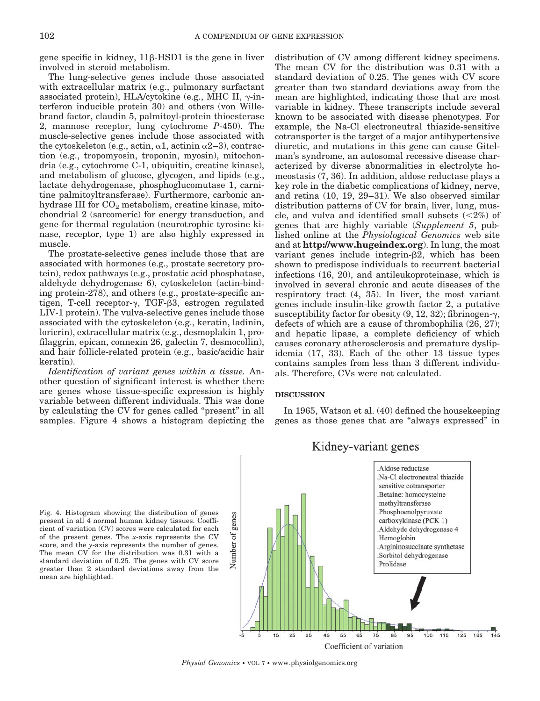gene specific in kidney,  $11\beta$ -HSD1 is the gene in liver involved in steroid metabolism.

The lung-selective genes include those associated with extracellular matrix (e.g., pulmonary surfactant associated protein), HLA/cytokine (e.g., MHC II,  $\gamma$ -interferon inducible protein 30) and others (von Willebrand factor, claudin 5, palmitoyl-protein thioesterase 2, mannose receptor, lung cytochrome *P*-450). The muscle-selective genes include those associated with the cytoskeleton (e.g., actin,  $\alpha$ 1, actinin  $\alpha$ 2–3), contraction (e.g., tropomyosin, troponin, myosin), mitochondria (e.g., cytochrome C-1, ubiquitin, creatine kinase), and metabolism of glucose, glycogen, and lipids (e.g., lactate dehydrogenase, phosphoglucomutase 1, carnitine palmitoyltransferase). Furthermore, carbonic anhydrase III for  $CO<sub>2</sub>$  metabolism, creatine kinase, mitochondrial 2 (sarcomeric) for energy transduction, and gene for thermal regulation (neurotrophic tyrosine kinase, receptor, type 1) are also highly expressed in muscle.

The prostate-selective genes include those that are associated with hormones (e.g., prostate secretory protein), redox pathways (e.g., prostatic acid phosphatase, aldehyde dehydrogenase 6), cytoskeleton (actin-binding protein-278), and others (e.g., prostate-specific antigen, T-cell receptor- $\gamma$ , TGF- $\beta$ 3, estrogen regulated LIV-1 protein). The vulva-selective genes include those associated with the cytoskeleton (e.g., keratin, ladinin, loricrin), extracellular matrix (e.g., desmoplakin 1, profilaggrin, epican, connexin 26, galectin 7, desmocollin), and hair follicle-related protein (e.g., basic/acidic hair keratin).

*Identification of variant genes within a tissue.* Another question of significant interest is whether there are genes whose tissue-specific expression is highly variable between different individuals. This was done by calculating the CV for genes called "present" in all samples. Figure 4 shows a histogram depicting the distribution of CV among different kidney specimens. The mean CV for the distribution was 0.31 with a standard deviation of 0.25. The genes with CV score greater than two standard deviations away from the mean are highlighted, indicating those that are most variable in kidney. These transcripts include several known to be associated with disease phenotypes. For example, the Na-Cl electroneutral thiazide-sensitive cotransporter is the target of a major antihypertensive diuretic, and mutations in this gene can cause Gitelman's syndrome, an autosomal recessive disease characterized by diverse abnormalities in electrolyte homeostasis (7, 36). In addition, aldose reductase plays a key role in the diabetic complications of kidney, nerve, and retina (10, 19, 29–31). We also observed similar distribution patterns of CV for brain, liver, lung, muscle, and vulva and identified small subsets  $\left( \langle 2\% \rangle \right)$  of genes that are highly variable (*Supplement 5*, published online at the *Physiological Genomics* web site and at **http://www.hugeindex.org**). In lung, the most variant genes include integrin- $\beta$ 2, which has been shown to predispose individuals to recurrent bacterial infections (16, 20), and antileukoproteinase, which is involved in several chronic and acute diseases of the respiratory tract (4, 35). In liver, the most variant genes include insulin-like growth factor 2, a putative susceptibility factor for obesity  $(9, 12, 32)$ ; fibrinogen- $\gamma$ , defects of which are a cause of thrombophilia (26, 27); and hepatic lipase, a complete deficiency of which causes coronary atherosclerosis and premature dyslipidemia (17, 33). Each of the other 13 tissue types contains samples from less than 3 different individuals. Therefore, CVs were not calculated.

### **DISCUSSION**

In 1965, Watson et al. (40) defined the housekeeping genes as those genes that are "always expressed" in



Kidney-variant genes

Fig. 4. Histogram showing the distribution of genes present in all 4 normal human kidney tissues. Coefficient of variation (CV) scores were calculated for each of the present genes. The *x*-axis represents the CV score, and the *y*-axis represents the number of genes. The mean CV for the distribution was 0.31 with a standard deviation of 0.25. The genes with CV score greater than 2 standard deviations away from the mean are highlighted.

Coefficient of variation

 $145$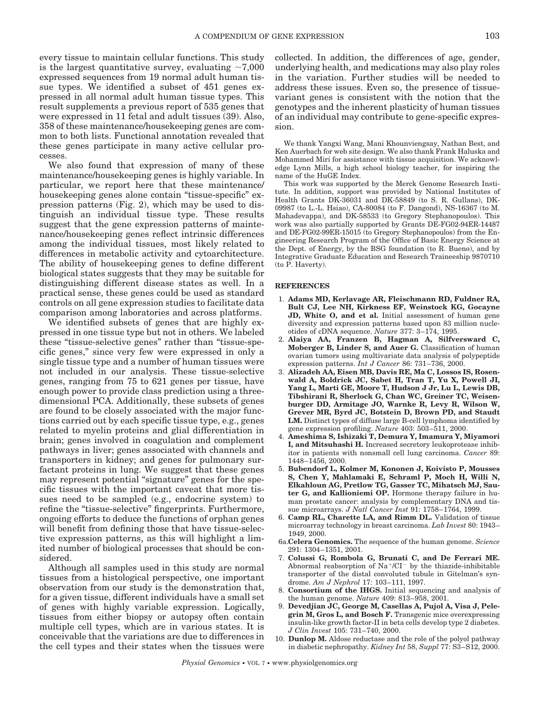every tissue to maintain cellular functions. This study is the largest quantitative survey, evaluating  $\sim 7,000$ expressed sequences from 19 normal adult human tissue types. We identified a subset of 451 genes expressed in all normal adult human tissue types. This result supplements a previous report of 535 genes that were expressed in 11 fetal and adult tissues (39). Also, 358 of these maintenance/housekeeping genes are common to both lists. Functional annotation revealed that these genes participate in many active cellular processes.

We also found that expression of many of these maintenance/housekeeping genes is highly variable. In particular, we report here that these maintenance/ housekeeping genes alone contain "tissue-specific" expression patterns (Fig. 2), which may be used to distinguish an individual tissue type. These results suggest that the gene expression patterns of maintenance/housekeeping genes reflect intrinsic differences among the individual tissues, most likely related to differences in metabolic activity and cytoarchitecture. The ability of housekeeping genes to define different biological states suggests that they may be suitable for distinguishing different disease states as well. In a practical sense, these genes could be used as standard controls on all gene expression studies to facilitate data comparison among laboratories and across platforms.

We identified subsets of genes that are highly expressed in one tissue type but not in others. We labeled these "tissue-selective genes" rather than "tissue-specific genes," since very few were expressed in only a single tissue type and a number of human tissues were not included in our analysis. These tissue-selective genes, ranging from 75 to 621 genes per tissue, have enough power to provide class prediction using a threedimensional PCA. Additionally, these subsets of genes are found to be closely associated with the major functions carried out by each specific tissue type, e.g., genes related to myelin proteins and glial differentiation in brain; genes involved in coagulation and complement pathways in liver; genes associated with channels and transporters in kidney; and genes for pulmonary surfactant proteins in lung. We suggest that these genes may represent potential "signature" genes for the specific tissues with the important caveat that more tissues need to be sampled (e.g., endocrine system) to refine the "tissue-selective" fingerprints. Furthermore, ongoing efforts to deduce the functions of orphan genes will benefit from defining those that have tissue-selective expression patterns, as this will highlight a limited number of biological processes that should be considered.

Although all samples used in this study are normal tissues from a histological perspective, one important observation from our study is the demonstration that, for a given tissue, different individuals have a small set of genes with highly variable expression. Logically, tissues from either biopsy or autopsy often contain multiple cell types, which are in various states. It is conceivable that the variations are due to differences in the cell types and their states when the tissues were

collected. In addition, the differences of age, gender, underlying health, and medications may also play roles in the variation. Further studies will be needed to address these issues. Even so, the presence of tissuevariant genes is consistent with the notion that the genotypes and the inherent plasticity of human tissues of an individual may contribute to gene-specific expression.

We thank Yangxi Wang, Mani Khounviengsay, Nathan Best, and Ken Auerbach for web site design. We also thank Frank Haluska and Mohammed Miri for assistance with tissue acquisition. We acknowledge Lynn Mills, a high school biology teacher, for inspiring the name of the HuGE Index.

This work was supported by the Merck Genome Research Institute. In addition, support was provided by National Institutes of Health Grants DK-36031 and DK-58849 (to S. R. Gullans), DK-09987 (to L.-L. Hsiao), CA-80084 (to F. Dangond), NS-16367 (to M. Mahadevappa), and DK-58533 (to Gregory Stephanopoulos). This work was also partially supported by Grants DE-FG02-94ER-14487 and DE-FG02-99ER-15015 (to Gregory Stephanopoulos) from the Engineering Research Program of the Office of Basic Energy Science at the Dept. of Energy, by the BSG foundation (to R. Bueno), and by Integrative Graduate Education and Research Traineeship 9870710 (to P. Haverty).

#### **REFERENCES**

- 1. **Adams MD, Kerlavage AR, Fleischmann RD, Fuldner RA, Bult CJ, Lee NH, Kirkness EF, Weinstock KG, Gocayne JD, White O, and et al.** Initial assessment of human gene diversity and expression patterns based upon 83 million nucleotides of cDNA sequence. *Nature* 377: 3–174, 1995.
- 2. **Alaiya AA, Franzen B, Hagman A, Silfversward C, Moberger B, Linder S, and Auer G.** Classification of human ovarian tumors using multivariate data analysis of polypeptide expression patterns. *Int J Cancer* 86: 731–736, 2000.
- 3. **Alizadeh AA, Eisen MB, Davis RE, Ma C, Lossos IS, Rosenwald A, Boldrick JC, Sabet H, Tran T, Yu X, Powell JI, Yang L, Marti GE, Moore T, Hudson J Jr, Lu L, Lewis DB, Tibshirani R, Sherlock G, Chan WC, Greiner TC, Weisenburger DD, Armitage JO, Warnke R, Levy R, Wilson W, Grever MR, Byrd JC, Botstein D, Brown PD, and Staudt LM.** Distinct types of diffuse large B-cell lymphoma identified by gene expression profiling. *Nature* 403: 503–511, 2000.
- 4. **Ameshima S, Ishizaki T, Demura Y, Imamura Y, Miyamori I, and Mitsuhashi H.** Increased secretory leukoprotease inhibitor in patients with nonsmall cell lung carcinoma. *Cancer* 89: 1448–1456, 2000.
- 5. **Bubendorf L, Kolmer M, Kononen J, Koivisto P, Mousses S, Chen Y, Mahlamaki E, Schraml P, Moch H, Willi N, Elkahloun AG, Pretlow TG, Gasser TC, Mihatsch MJ, Sauter G, and Kallioniemi OP.** Hormone therapy failure in human prostate cancer: analysis by complementary DNA and tissue microarrays. *J Natl Cancer Inst* 91: 1758–1764, 1999.
- 6. **Camp RL, Charette LA, and Rimm DL.** Validation of tissue microarray technology in breast carcinoma. *Lab Invest* 80: 1943– 1949, 2000.
- 6a.**Celera Genomics.** The sequence of the human genome. *Science* 291: 1304–1351, 2001.
- 7. **Colussi G, Rombola G, Brunati C, and De Ferrari ME.** Abnormal reabsorption of  $Na^+/CI^-$  by the thiazide-inhibitable transporter of the distal convoluted tubule in Gitelman's syndrome. *Am J Nephrol* 17: 103–111, 1997.
- 8. **Consortium of the IHGS.** Initial sequencing and analysis of the human genome. *Nature* 409: 813–958, 2001.
- 9. **Devedjian JC, George M, Casellas A, Pujol A, Visa J, Pelegrin M, Gros L, and Bosch F.** Transgenic mice overexpressing insulin-like growth factor-II in beta cells develop type 2 diabetes. *J Clin Invest* 105: 731–740, 2000.
- 10. **Dunlop M.** Aldose reductase and the role of the polyol pathway in diabetic nephropathy. *Kidney Int* 58, *Suppl* 77: S3–S12, 2000.